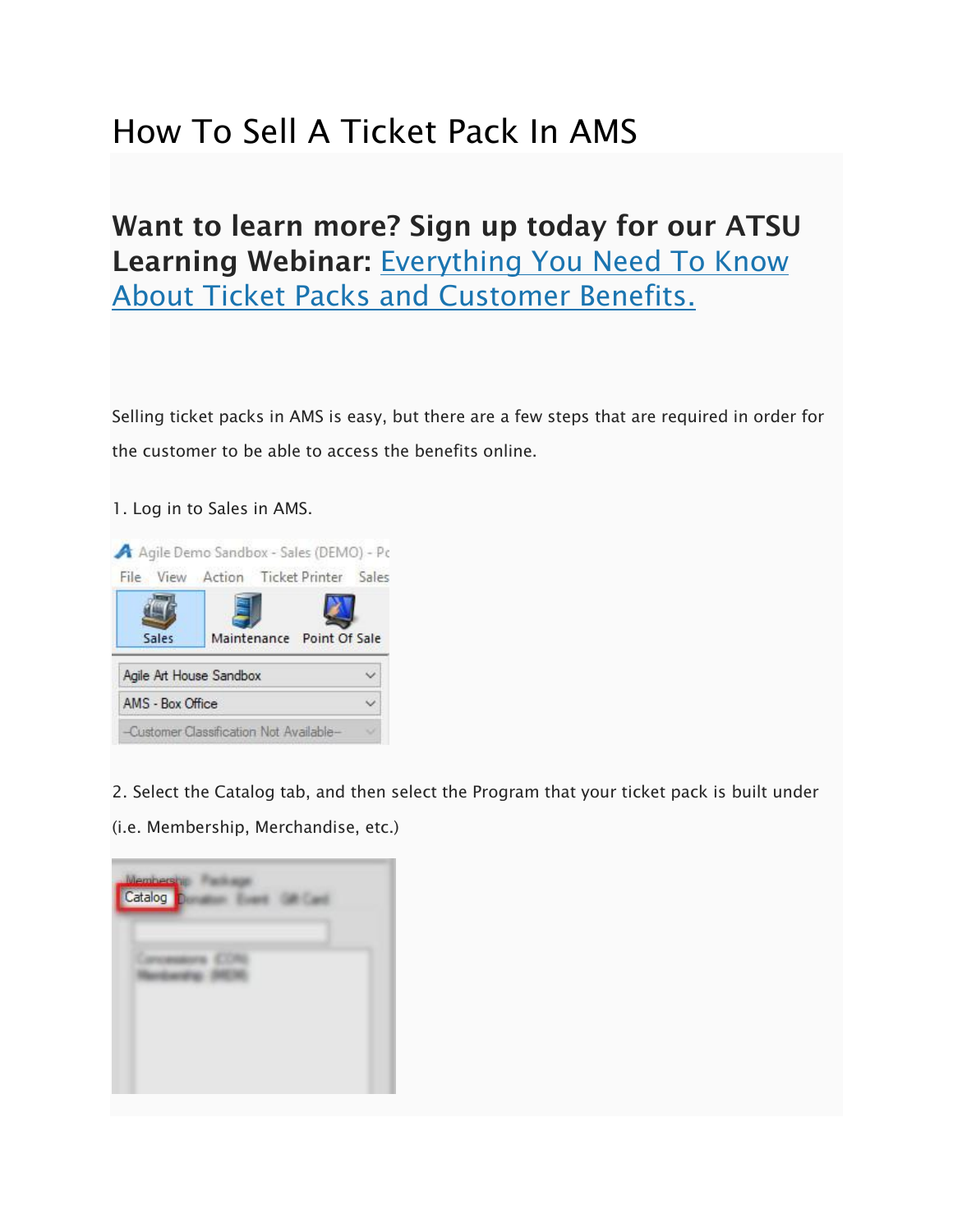## How To Sell A Ticket Pack In AMS

## Want to learn more? Sign up today for our ATSU Learning Webinar: Everything You Need To Know [About Ticket Packs and Customer Benefits.](http://prod1.agileticketing.net/websales/pages/info.aspx?evtinfo=145292~7578f108-cf35-4050-b14c-a88eebcdebe5&epguid=6c98ed01-c78b-4472-bfe3-2ec5430b8b7d&)

Selling ticket packs in AMS is easy, but there are a few steps that are required in order for the customer to be able to access the benefits online.

1. Log in to Sales in AMS.



2. Select the Catalog tab, and then select the Program that your ticket pack is built under

(i.e. Membership, Merchandise, etc.)

| Membership<br>Catalog |  |
|-----------------------|--|
|                       |  |
|                       |  |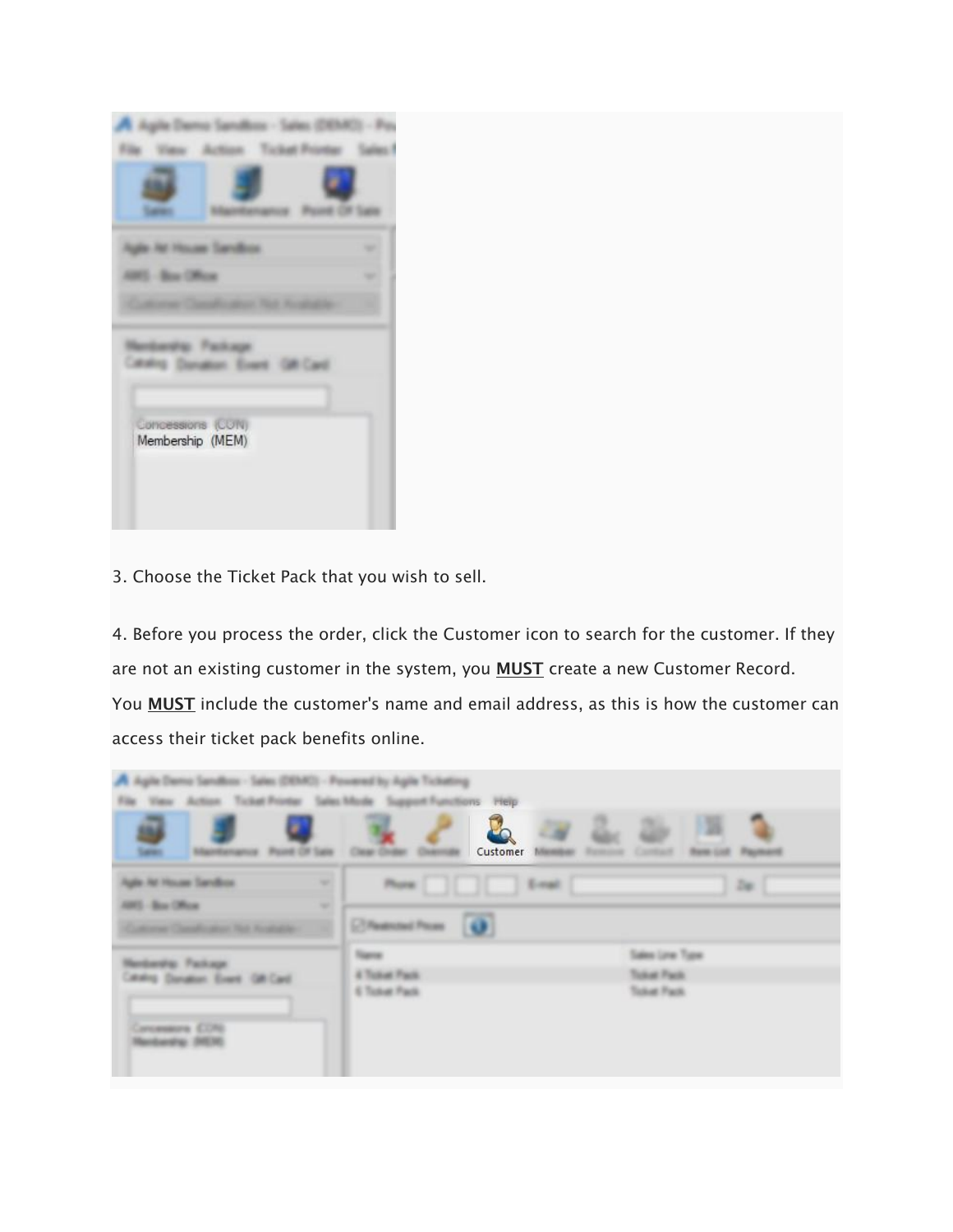|                                       | <b>Contract Contract</b> |  |
|---------------------------------------|--------------------------|--|
|                                       |                          |  |
|                                       |                          |  |
|                                       |                          |  |
|                                       |                          |  |
| Concessions (CON)<br>Membership (MEM) |                          |  |
|                                       |                          |  |
|                                       |                          |  |
|                                       |                          |  |

3. Choose the Ticket Pack that you wish to sell.

4. Before you process the order, click the Customer icon to search for the customer. If they are not an existing customer in the system, you MUST create a new Customer Record. You **MUST** include the customer's name and email address, as this is how the customer can access their ticket pack benefits online.

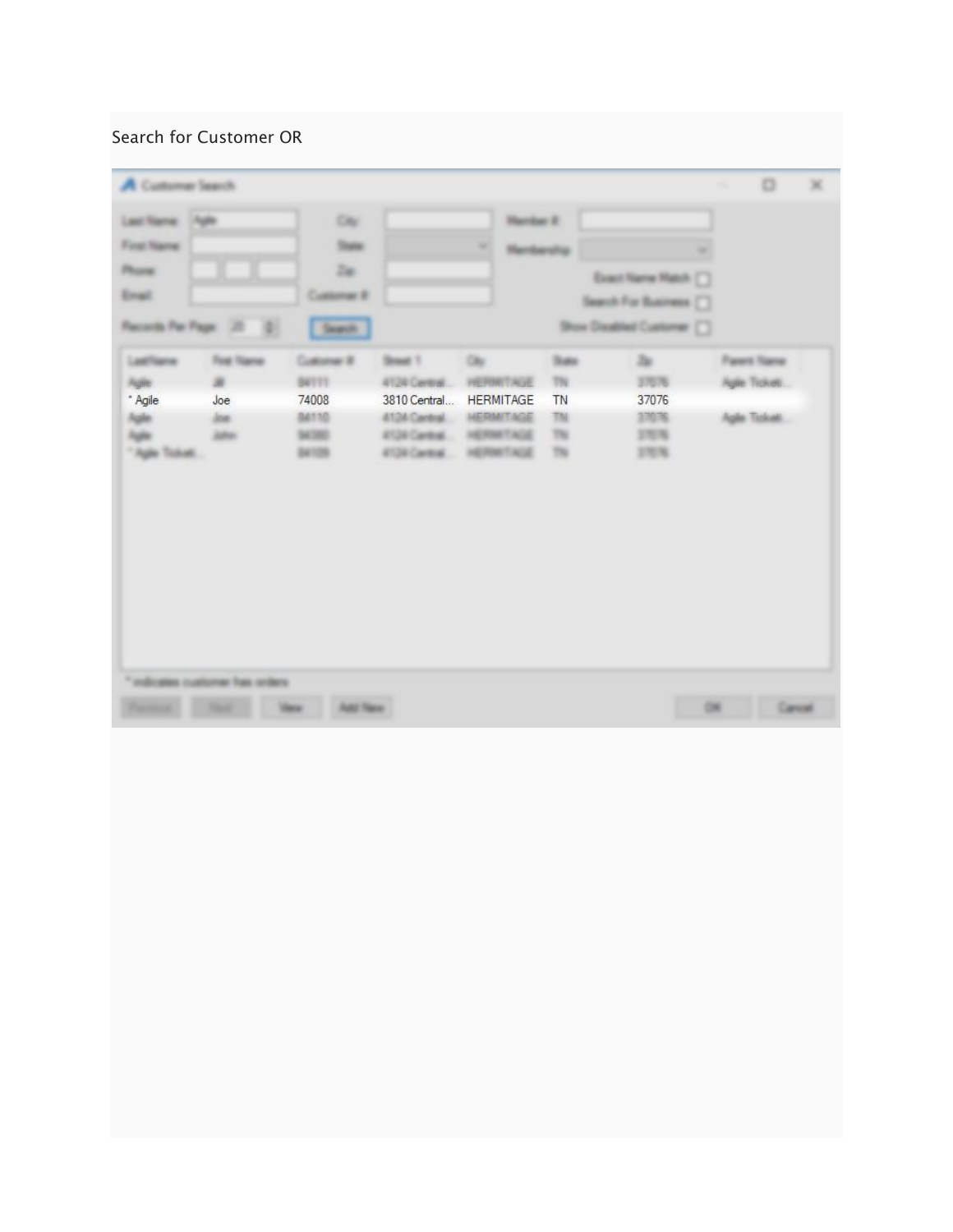## Search for Customer OR

| A Customer Search                                      |                                                               |                                                                 |                                                                                                 |                                                                                            |                                                 |                                                                                   | $\Box$                                              | × |
|--------------------------------------------------------|---------------------------------------------------------------|-----------------------------------------------------------------|-------------------------------------------------------------------------------------------------|--------------------------------------------------------------------------------------------|-------------------------------------------------|-----------------------------------------------------------------------------------|-----------------------------------------------------|---|
| Leat Name: 14gle<br>First Name<br>Phone:<br>Erail      | Records Per Page 120 (D)                                      | City:<br><b>State</b><br>Zu:<br>Customer #<br>Search.           |                                                                                                 | Hardw E.<br>$\sim$<br><b>Henbership</b>                                                    |                                                 | ۰<br>Exact Name Match [ ]<br>Search For Business []<br>Show Dealthed Customer [ ] |                                                     |   |
| Lashlane<br>Agile<br>$^*$ Agile<br>hijin.<br>Tiga tuwa | Foat Name<br>$\overline{\phantom{a}}$<br>Joe<br>ine.<br>John: | Customer #<br><b>B4111</b><br>74008<br>84110<br>54,392<br>34105 | Street 1<br>4124 Central<br>3810 Central<br>4104 Cantral<br>8126 Centrel<br><b>RT20 Cantral</b> | <b>City</b><br>HETTHIT AUS<br><b>HERMITAGE</b><br><b>HERMITAGE</b><br>HERMTAGE<br>HERMTAGE | <b>Super</b><br>TN<br>TN<br>TN<br>$^{78}$<br>TN | Zu-<br>37076<br>37076<br>37076<br>370%<br>37076                                   | <b>Farent Name</b><br>Auto Tickett<br>Agile Tickett |   |
|                                                        | "indicates customer has orders                                | <b>Add Texas</b><br><b>Views:</b>                               |                                                                                                 |                                                                                            |                                                 |                                                                                   | Carcal<br>$-$                                       |   |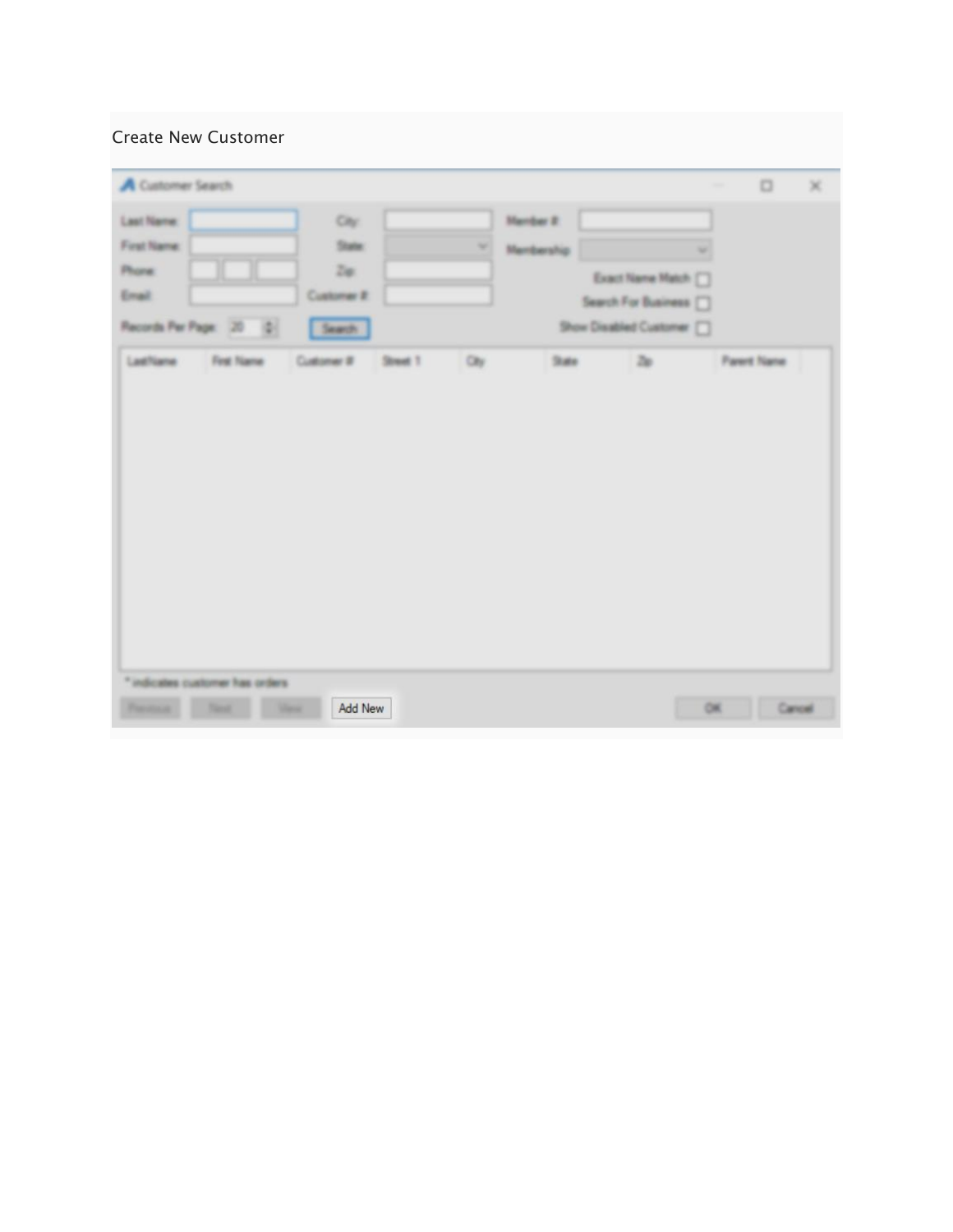## Create New Customer

| A Customer Search                             |     |                   |                            | $\Box$<br>$\sim$   | × |
|-----------------------------------------------|-----|-------------------|----------------------------|--------------------|---|
| <b>Last Name:</b><br>City                     |     | <b>Member 2:</b>  |                            |                    |   |
| First Name:<br><b>State</b>                   | ×   | <b>Membership</b> |                            |                    |   |
| Zur<br>Phone:                                 |     |                   | Exact Name Match [7]       |                    |   |
| Email<br>Customer #                           |     |                   | Search For Business [7]    |                    |   |
| Records Per Page: 20 Q<br>Search              |     |                   | Show Disabled Customer [7] |                    |   |
| First Name<br>Customer # Street 1<br>LastName | Otr | <b>State</b>      | 2a                         | <b>Parent Name</b> |   |
|                                               |     |                   |                            |                    |   |
|                                               |     |                   |                            |                    |   |
| * indicates customer has orders               |     |                   |                            |                    |   |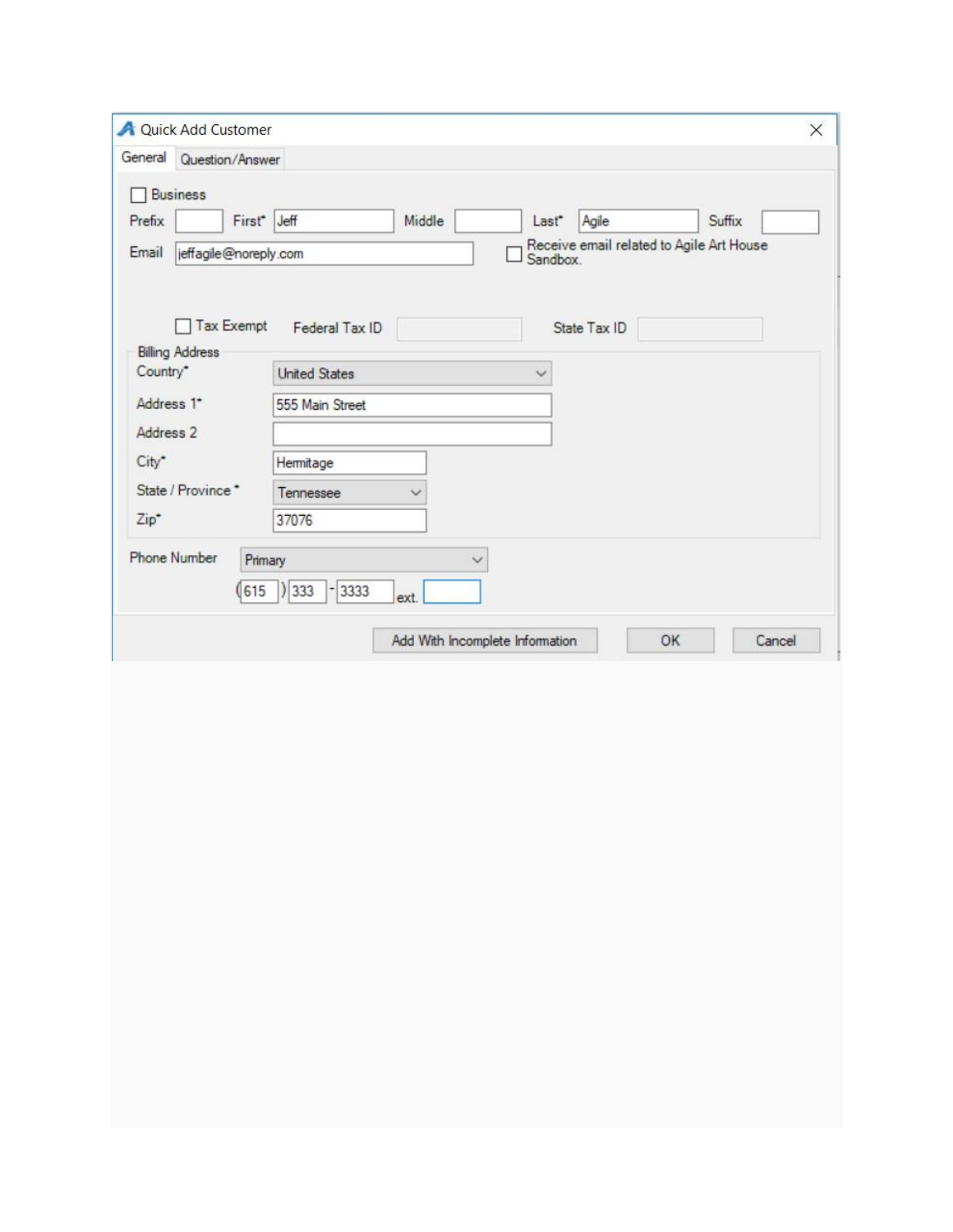|            | <b>A</b> Quick Add Customer          |                                      | ×                                                    |
|------------|--------------------------------------|--------------------------------------|------------------------------------------------------|
| General    | Question/Answer                      |                                      |                                                      |
|            | <b>Business</b>                      |                                      |                                                      |
| Prefix     |                                      | First <sup>*</sup> Jeff<br>Middle    | Agile<br>Suffix<br>Last <sup>*</sup>                 |
| Email      | jeffagile@noreply.com                |                                      | Receive email related to Agile Art House<br>Sandbox. |
|            | Tax Exempt<br><b>Billing Address</b> | Federal Tax ID                       | State Tax ID                                         |
| Country*   |                                      | <b>United States</b><br>$\checkmark$ |                                                      |
| Address 1* |                                      | 555 Main Street                      |                                                      |
| Address 2  |                                      |                                      |                                                      |
| City*      |                                      | Hermitage                            |                                                      |
|            | State / Province *                   | Tennessee                            |                                                      |
| $Zip*$     |                                      | 37076                                |                                                      |
|            | <b>Phone Number</b>                  | Primary<br>$\checkmark$              |                                                      |
|            |                                      | ) 333<br>$-3333$<br>(615)<br>ext.    |                                                      |
|            |                                      | Add With Incomplete Information      | OK<br>Cancel                                         |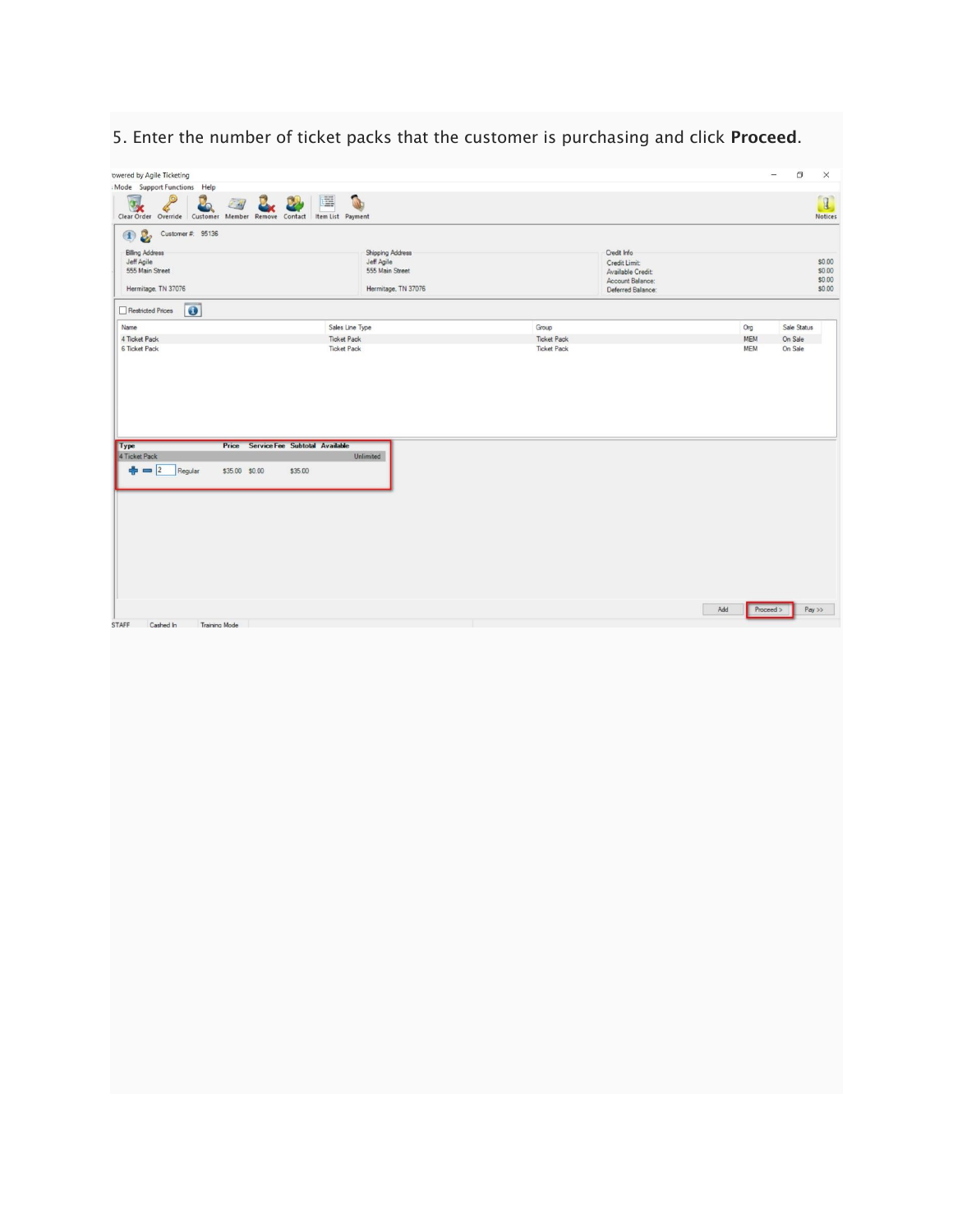5. Enter the number of ticket packs that the customer is purchasing and click Proceed.

| owered by Agile Ticketing                                                                   |                               |                    |                                    |     | $\frac{1}{2}$ | $\Box$      | $\times$                                            |
|---------------------------------------------------------------------------------------------|-------------------------------|--------------------|------------------------------------|-----|---------------|-------------|-----------------------------------------------------|
| Mode Support Functions Help                                                                 |                               |                    |                                    |     |               |             |                                                     |
| 囸<br>$\rightarrow$<br>Clear Order Override Customer Member Remove Contact Item List Payment |                               |                    |                                    |     |               |             | $\begin{bmatrix} 1 \end{bmatrix}$<br><b>Notices</b> |
| Customer #: 95136<br>$\n  ②$                                                                |                               |                    |                                    |     |               |             |                                                     |
| <b>Billing Address</b>                                                                      | Shipping Address              |                    | Credit Info                        |     |               |             |                                                     |
| Jeff Agile<br>555 Main Street                                                               | Jeff Agile<br>555 Main Street |                    | Credit Limit:<br>Available Credit: |     |               |             | \$0.00<br>\$0.00                                    |
|                                                                                             |                               |                    | Account Balance:                   |     |               |             | \$0.00                                              |
| Hermitage, TN 37076                                                                         | Hermitage, TN 37076           |                    | Deferred Balance:                  |     |               |             | \$0.00                                              |
| $\bullet$<br>Restricted Prices                                                              |                               |                    |                                    |     |               |             |                                                     |
| Sales Line Type<br>Name                                                                     |                               | Group              |                                    | Org |               | Sale Status |                                                     |
| 4 Ticket Pack<br><b>Ticket Pack</b>                                                         |                               | <b>Ticket Pack</b> |                                    | MEM | On Sale       |             |                                                     |
| 6 Ticket Pack<br><b>Ticket Pack</b>                                                         |                               | <b>Ticket Pack</b> |                                    | MEM | On Sale       |             |                                                     |
| Price Service Fee Subtotal Available<br>Type                                                |                               |                    |                                    |     |               |             |                                                     |
| 4 Ticket Pack                                                                               | Unlimited                     |                    |                                    |     |               |             |                                                     |
| $\frac{1}{2} = 2$<br>Regular<br>\$35.00 \$0.00<br>\$35.00                                   |                               |                    |                                    |     |               |             |                                                     |
|                                                                                             |                               |                    |                                    |     |               |             |                                                     |
|                                                                                             |                               |                    |                                    |     |               |             |                                                     |
|                                                                                             |                               |                    |                                    |     |               |             |                                                     |
|                                                                                             |                               |                    |                                    |     |               |             |                                                     |
|                                                                                             |                               |                    |                                    |     |               |             |                                                     |
|                                                                                             |                               |                    |                                    |     |               |             |                                                     |
|                                                                                             |                               |                    |                                    |     |               |             |                                                     |
|                                                                                             |                               |                    |                                    | Add | Proceed >     | $Pay$ >>    |                                                     |
| <b>STAFF</b><br><b>Training Mode</b><br>Cashed In                                           |                               |                    |                                    |     |               |             |                                                     |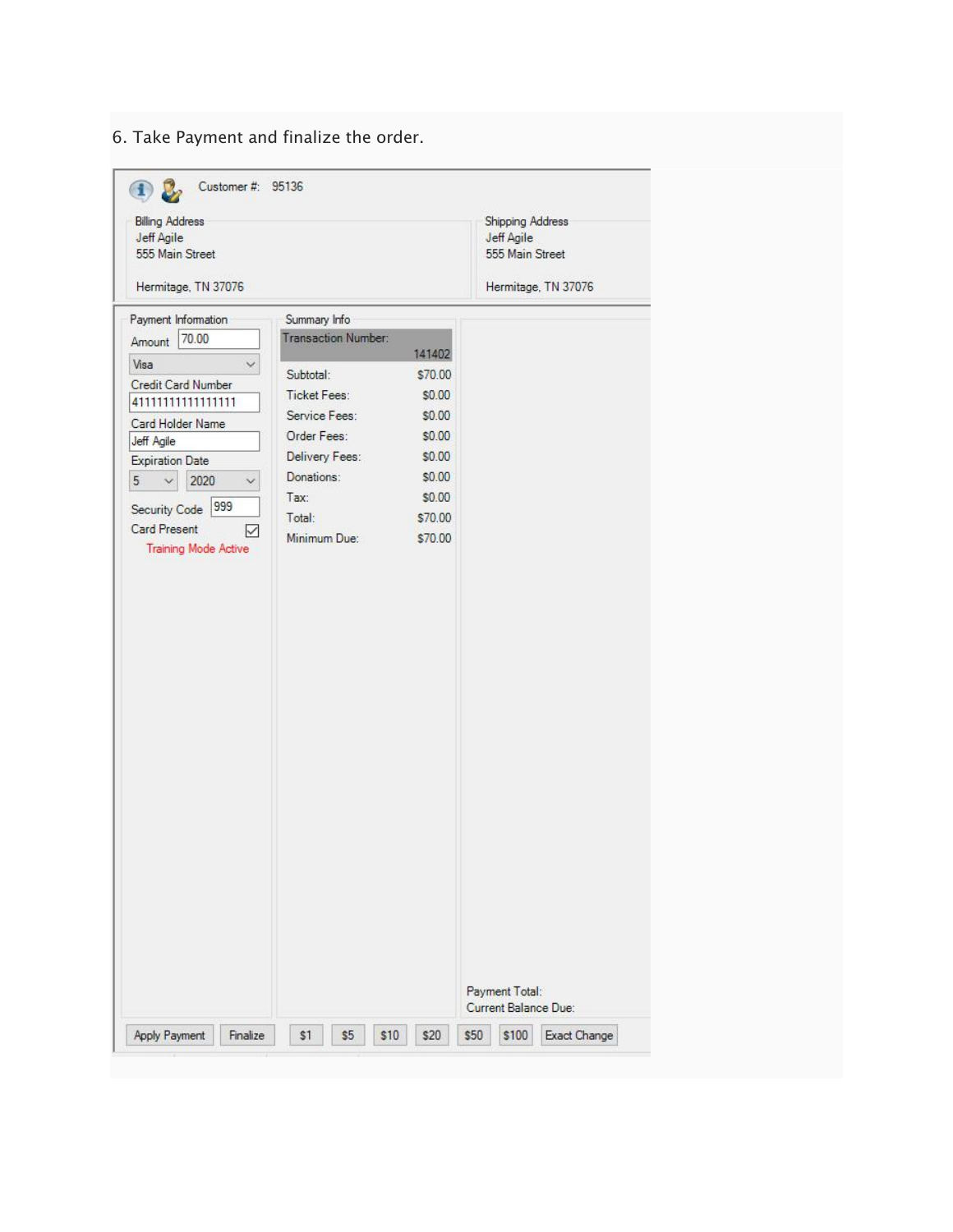6. Take Payment and finalize the order.

| Customer #: 95136                                       |                     |              |                                                          |
|---------------------------------------------------------|---------------------|--------------|----------------------------------------------------------|
| <b>Billing Address</b><br>Jeff Agile<br>555 Main Street |                     |              | <b>Shipping Address</b><br>Jeff Agile<br>555 Main Street |
| Hermitage, TN 37076                                     |                     |              | Hermitage, TN 37076                                      |
| Payment Information                                     | Summary Info        |              |                                                          |
| 70.00<br>Amount                                         | Transaction Number: | 141402       |                                                          |
| Visa                                                    | Subtotal:           | \$70.00      |                                                          |
| Credit Card Number<br>41111111111111111                 | <b>Ticket Fees:</b> | \$0.00       |                                                          |
| Card Holder Name                                        | Service Fees:       | \$0.00       |                                                          |
| Jeff Agile                                              | Order Fees:         | \$0.00       |                                                          |
| <b>Expiration Date</b>                                  | Delivery Fees:      | \$0.00       |                                                          |
| 2020<br>5<br>$\vee$                                     | Donations:          | \$0.00       |                                                          |
| 999                                                     | Tax:                | \$0.00       |                                                          |
| Security Code<br>Card Present                           | Total:              | \$70.00      |                                                          |
| ✓<br><b>Training Mode Active</b>                        | Minimum Due:        | \$70.00      |                                                          |
|                                                         |                     |              |                                                          |
|                                                         |                     |              |                                                          |
|                                                         |                     |              |                                                          |
|                                                         |                     |              |                                                          |
|                                                         |                     |              |                                                          |
|                                                         |                     |              |                                                          |
|                                                         |                     |              |                                                          |
|                                                         |                     |              |                                                          |
|                                                         |                     |              |                                                          |
|                                                         |                     |              |                                                          |
|                                                         |                     |              |                                                          |
|                                                         |                     |              |                                                          |
|                                                         |                     |              |                                                          |
|                                                         |                     |              |                                                          |
|                                                         |                     |              |                                                          |
|                                                         |                     |              |                                                          |
|                                                         |                     |              |                                                          |
|                                                         |                     |              |                                                          |
|                                                         |                     |              |                                                          |
|                                                         |                     |              |                                                          |
|                                                         |                     |              |                                                          |
|                                                         |                     |              | Payment Total:                                           |
|                                                         |                     |              | Current Balance Due:                                     |
| Apply Payment<br>Finalize                               | \$1<br>\$5          | \$10<br>\$20 | \$50<br>\$100<br>Exact Change                            |